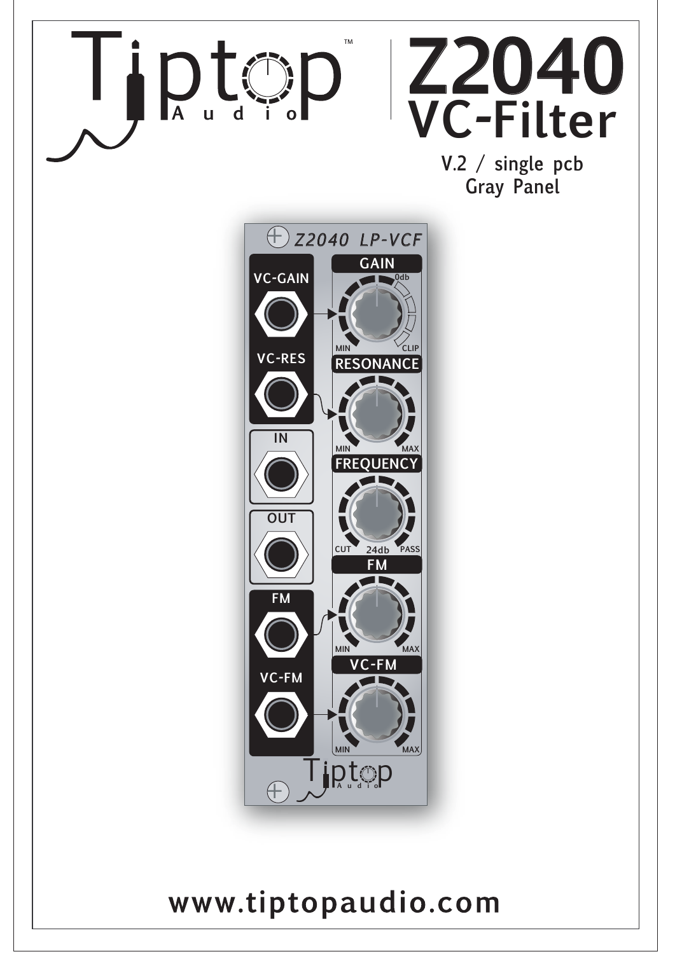

### www.tiptopaudio.com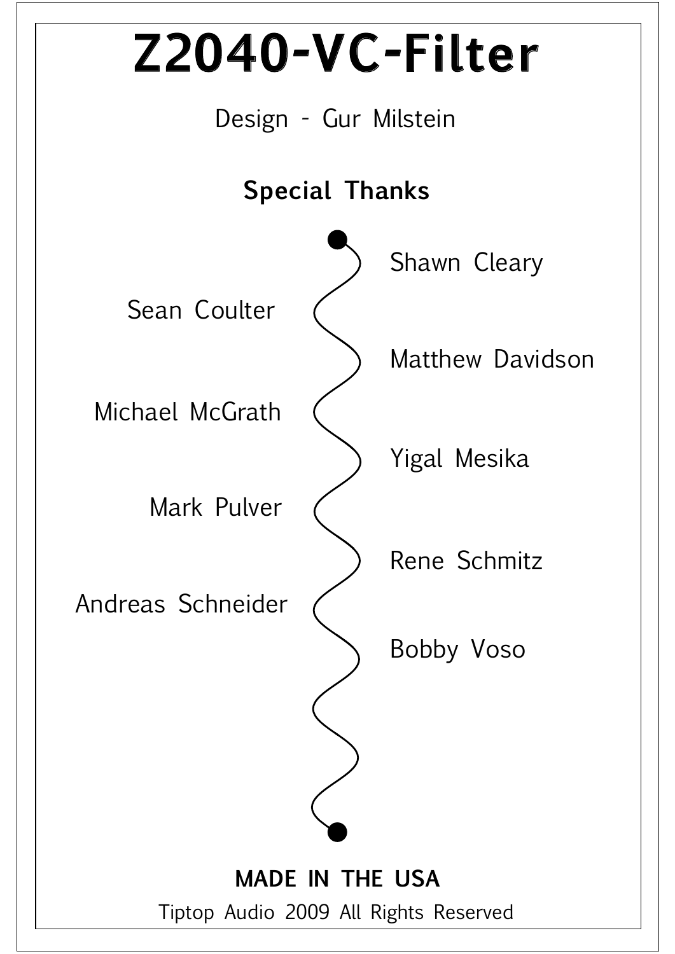Tiptop Audio 2009 All Rights Reserved

### **MADE IN THE USA**

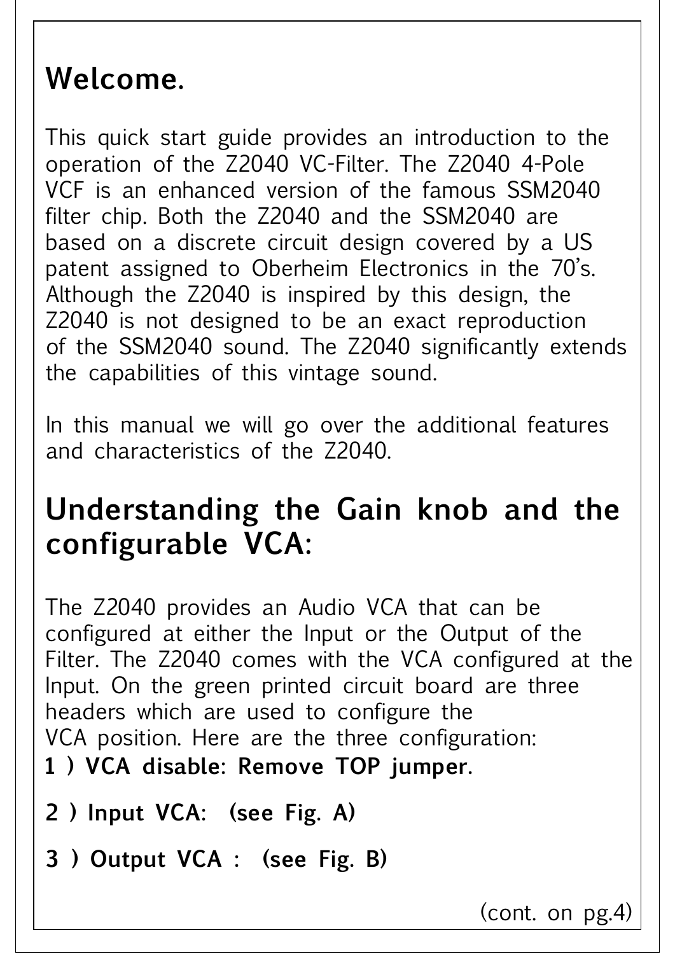### **Welcome.**

This quick start guide provides an introduction to the operation of the Z2040 VC-Filter. The Z2040 4-Pole VCF is an enhanced version of the famous SSM2040 filter chip. Both the Z2040 and the SSM2040 are based on a discrete circuit design covered by a US patent assigned to Oberheim Electronics in the 70's. Although the Z2040 is inspired by this design, the Z2040 is not designed to be an exact reproduction of the SSM2040 sound. The Z2040 significantly extends the capabilities of this vintage sound.

In this manual we will go over the additional features and characteristics of the Z2040.

## **Understanding the Gain knob and the configurable VCA:**

The Z2040 provides an Audio VCA that can be configured at either the Input or the Output of the Filter. The Z2040 comes with the VCA configured at the Input. On the green printed circuit board are three headers which are used to configure the VCA position. Here are the three configuration: **1 ) VCA disable: Remove TOP jumper. 2 ) Input VCA: (see Fig. A)**

(cont. on pg.4)

**3 ) Output VCA : (see Fig. B)**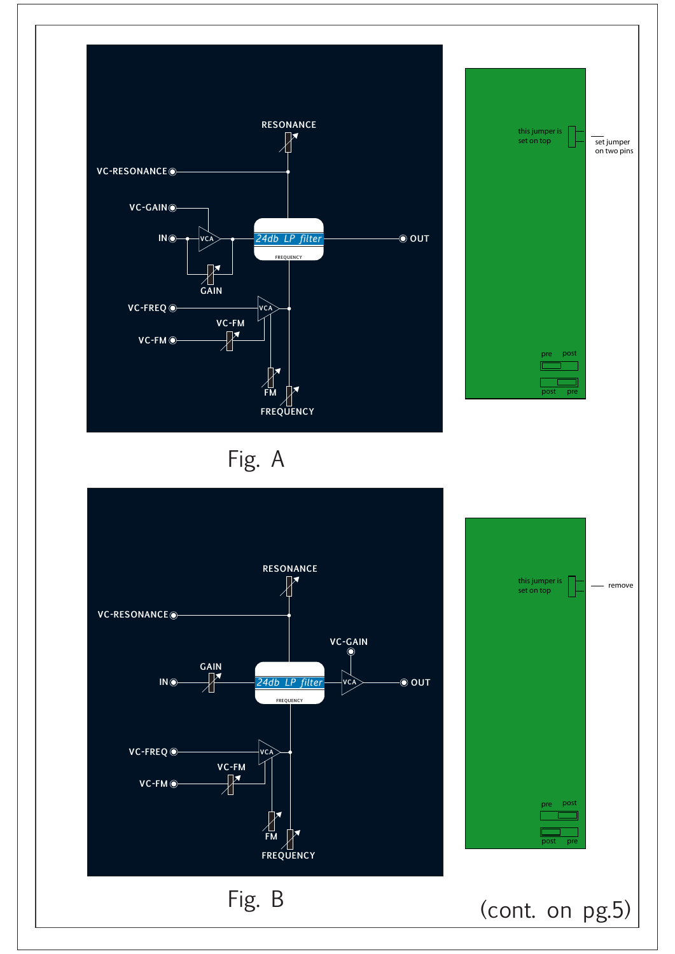





Fig. A

pre

pre post

post

set jumper on two pins

this jumper is set on top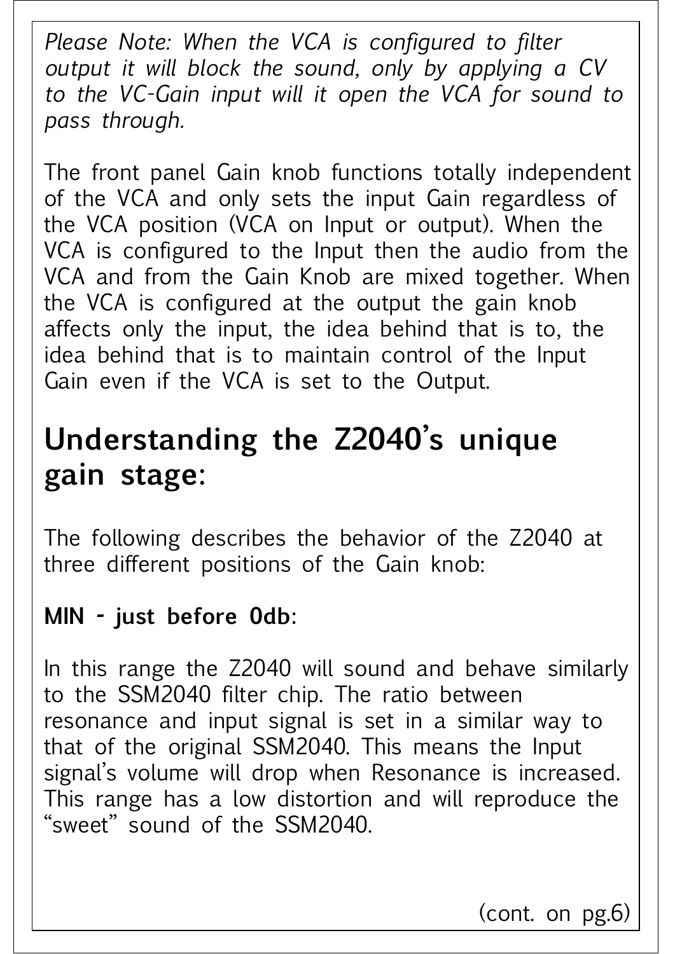*Please Note: When the VCA is configured to filter output it will block the sound, only by applying a CV to the VC-Gain input will it open the VCA for sound to pass through.*

The front panel Gain knob functions totally independent of the VCA and only sets the input Gain regardless of the VCA position (VCA on Input or output). When the VCA is configured to the Input then the audio from the VCA and from the Gain Knob are mixed together. When the VCA is configured at the output the gain knob affects only the input, the idea behind that is to, the idea behind that is to maintain control of the Input Gain even if the VCA is set to the Output.

## **Understanding the Z2040's unique gain stage:**

The following describes the behavior of the Z2040 at three different positions of the Gain knob:

### **MIN - just before 0db:**

In this range the Z2040 will sound and behave similarly to the SSM2040 filter chip. The ratio between resonance and input signal is set in a similar way to that of the original SSM2040. This means the Input signal's volume will drop when Resonance is increased. This range has a low distortion and will reproduce the "sweet" sound of the SSM2040.

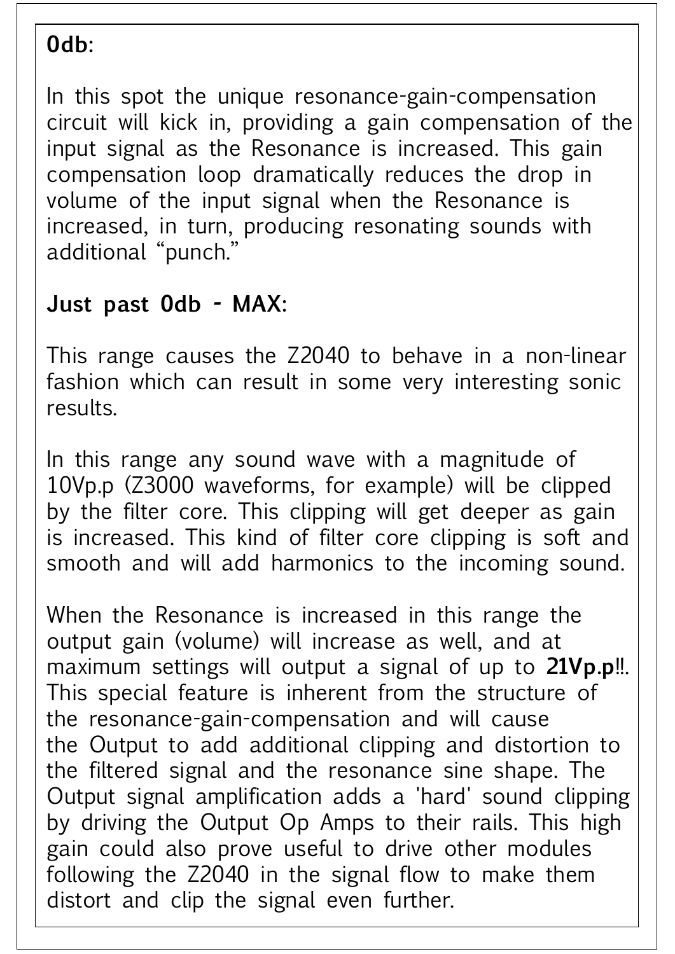#### **0db:**

In this spot the unique resonance-gain-compensation circuit will kick in, providing a gain compensation of the input signal as the Resonance is increased. This gain compensation loop dramatically reduces the drop in volume of the input signal when the Resonance is increased, in turn, producing resonating sounds with additional "punch."

### **Just past 0db - MAX:**

This range causes the Z2040 to behave in a non-linear fashion which can result in some very interesting sonic results.

In this range any sound wave with a magnitude of 10Vp.p (Z3000 waveforms, for example) will be clipped by the filter core. This clipping will get deeper as gain is increased. This kind of filter core clipping is soft and smooth and will add harmonics to the incoming sound.

When the Resonance is increased in this range the output gain (volume) will increase as well, and at maximum settings will output a signal of up to **21Vp.p**!!. This special feature is inherent from the structure of the resonance-gain-compensation and will cause the Output to add additional clipping and distortion to the filtered signal and the resonance sine shape. The Output signal amplification adds a 'hard' sound clipping by driving the Output Op Amps to their rails. This high gain could also prove useful to drive other modules following the Z2040 in the signal flow to make them distort and clip the signal even further.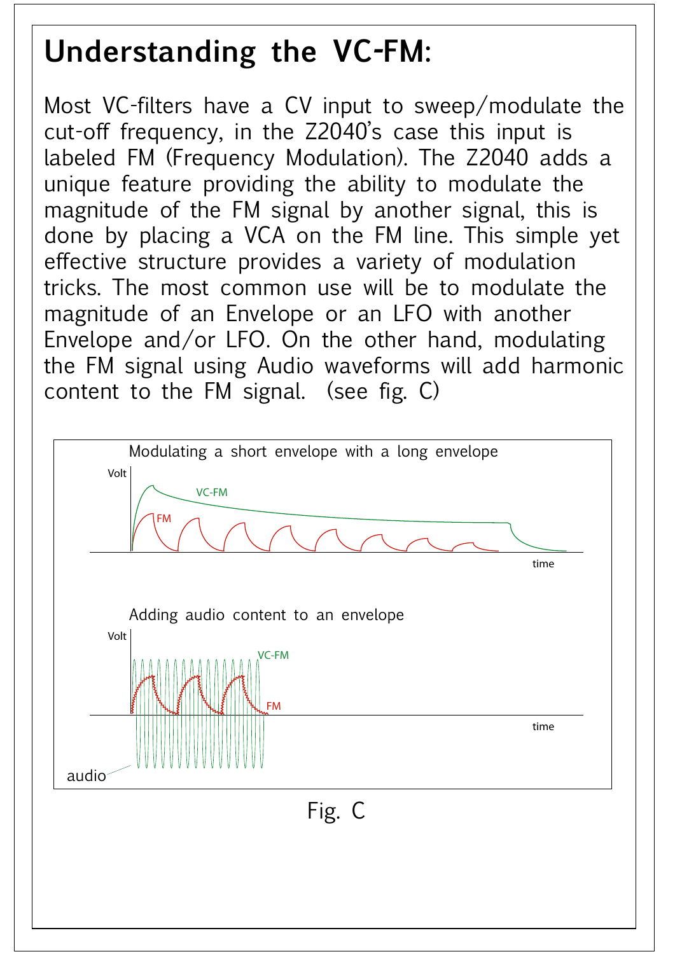## **Understanding the VC-FM:**

Most VC-filters have a CV input to sweep/modulate the cut-off frequency, in the Z2040's case this input is labeled FM (Frequency Modulation). The Z2040 adds a unique feature providing the ability to modulate the magnitude of the FM signal by another signal, this is done by placing a VCA on the FM line. This simple yet effective structure provides a variety of modulation tricks. The most common use will be to modulate the magnitude of an Envelope or an LFO with another Envelope and/or LFO. On the other hand, modulating the FM signal using Audio waveforms will add harmonic content to the FM signal. (see fig. C)

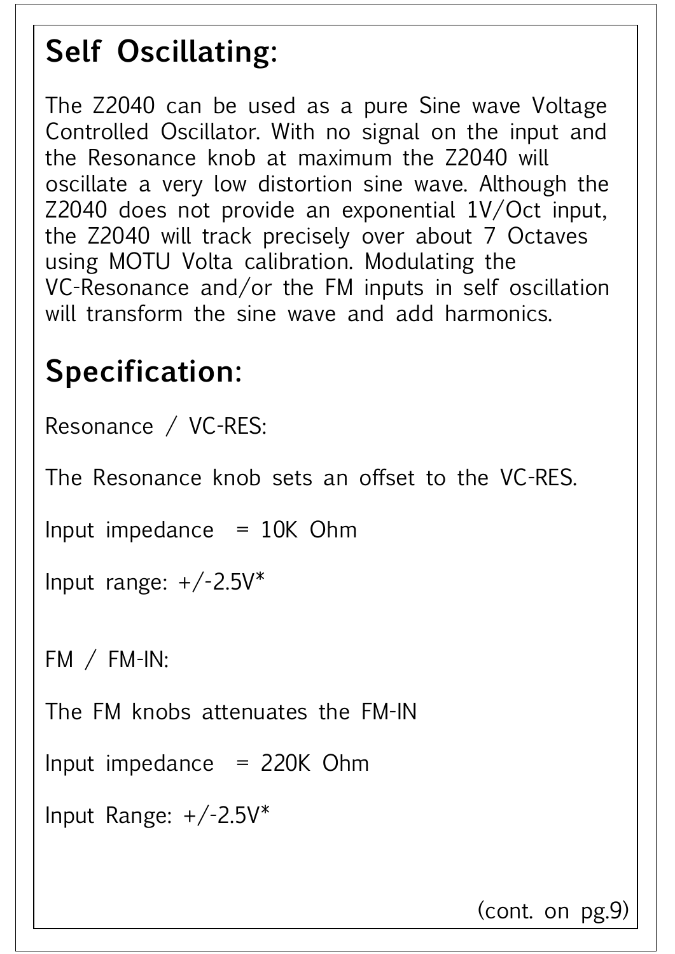## **Self Oscillating:**

The Z2040 can be used as a pure Sine wave Voltage Controlled Oscillator. With no signal on the input and the Resonance knob at maximum the Z2040 will oscillate a very low distortion sine wave. Although the Z2040 does not provide an exponential 1V/Oct input, the Z2040 will track precisely over about 7 Octaves using MOTU Volta calibration. Modulating the VC-Resonance and/or the FM inputs in self oscillation will transform the sine wave and add harmonics.

# **Specification:**

Resonance / VC-RES:

The Resonance knob sets an offset to the VC-RES.

```
Input impedance = 10K Ohm
```

```
Input range: +/-2.5V^*
```
FM / FM-IN:

The FM knobs attenuates the FM-IN

#### Input impedance  $= 220K$  Ohm

```
Input Range: +/-2.5V^*
```
(cont. on pg.9)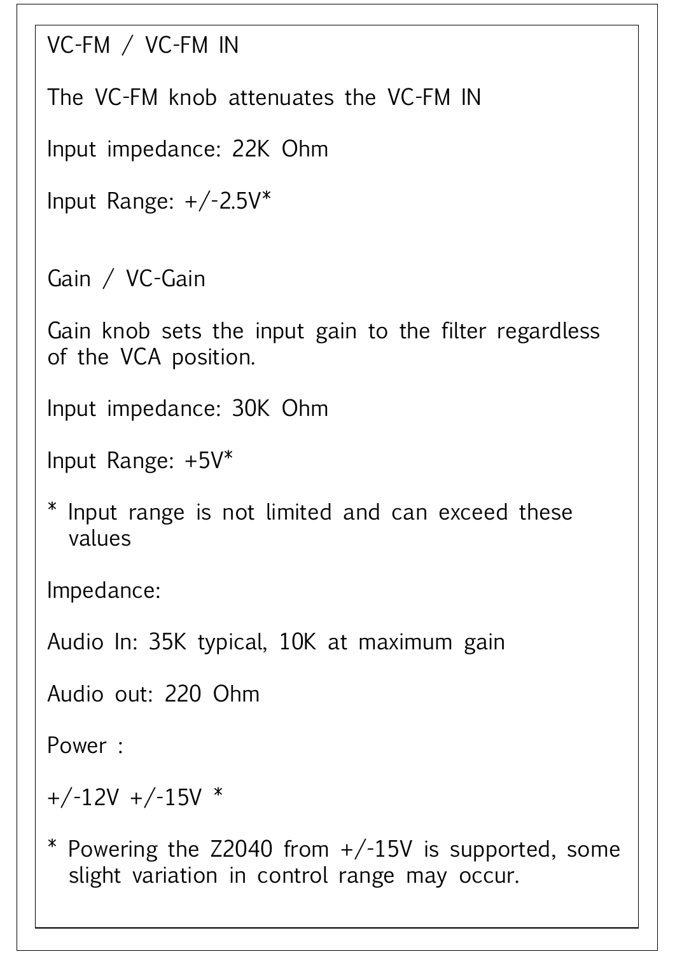```
VC-FM / VC-FM IN
```
The VC-FM knob attenuates the VC-FM IN

Input impedance: 22K Ohm

```
Input Range: +/-2.5V^*
```
Gain / VC-Gain

Gain knob sets the input gain to the filter regardless of the VCA position.

Input impedance: 30K Ohm

Input Range: +5V\*

#### \* Powering the  $Z$ 2040 from  $+/-15V$  is supported, some slight variation in control range may occur.

\* Input range is not limited and can exceed these values

Impedance:

Audio In: 35K typical, 10K at maximum gain

Audio out: 220 Ohm

Power :

#### $+/-12V$  +/-15V  $*$